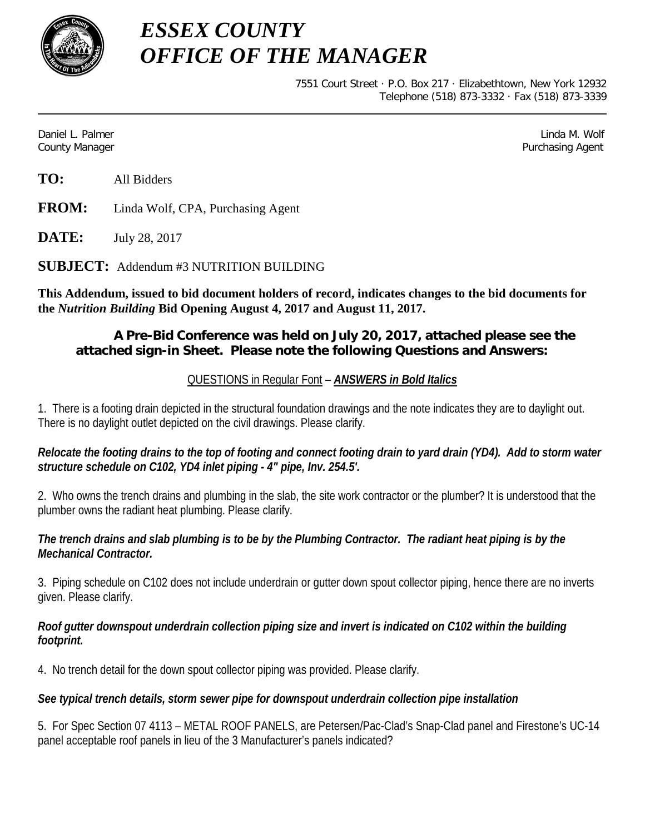

*ESSEX COUNTY OFFICE OF THE MANAGER*

> 7551 Court Street · P.O. Box 217 · Elizabethtown, New York 12932 Telephone (518) 873-3332 · Fax (518) 873-3339

Daniel L. Palmer Linda M. Wolf County Manager **Purchasing Agent** County Manager **Purchasing Agent** County Manager

**TO:** All Bidders

**FROM:** Linda Wolf, CPA, Purchasing Agent

**DATE:** July 28, 2017

**SUBJECT:** Addendum #3 NUTRITION BUILDING

# **This Addendum, issued to bid document holders of record, indicates changes to the bid documents for the** *Nutrition Building* **Bid Opening August 4, 2017 and August 11, 2017.**

# **A Pre-Bid Conference was held on July 20, 2017, attached please see the attached sign-in Sheet. Please note the following Questions and Answers:**

# QUESTIONS in Regular Font – *ANSWERS in Bold Italics*

1. There is a footing drain depicted in the structural foundation drawings and the note indicates they are to daylight out. There is no daylight outlet depicted on the civil drawings. Please clarify.

# *Relocate the footing drains to the top of footing and connect footing drain to yard drain (YD4). Add to storm water structure schedule on C102, YD4 inlet piping - 4" pipe, Inv. 254.5'.*

2. Who owns the trench drains and plumbing in the slab, the site work contractor or the plumber? It is understood that the plumber owns the radiant heat plumbing. Please clarify.

# *The trench drains and slab plumbing is to be by the Plumbing Contractor. The radiant heat piping is by the Mechanical Contractor.*

3. Piping schedule on C102 does not include underdrain or gutter down spout collector piping, hence there are no inverts given. Please clarify.

# *Roof gutter downspout underdrain collection piping size and invert is indicated on C102 within the building footprint.*

4. No trench detail for the down spout collector piping was provided. Please clarify.

# *See typical trench details, storm sewer pipe for downspout underdrain collection pipe installation*

5. For Spec Section 07 4113 – METAL ROOF PANELS, are Petersen/Pac-Clad's Snap-Clad panel and Firestone's UC-14 panel acceptable roof panels in lieu of the 3 Manufacturer's panels indicated?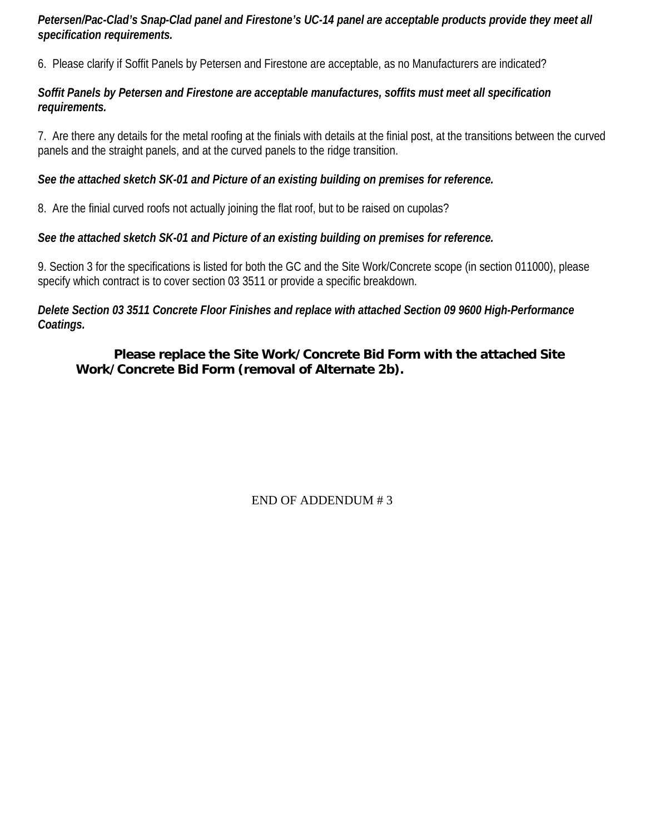*Petersen/Pac-Clad's Snap-Clad panel and Firestone's UC-14 panel are acceptable products provide they meet all specification requirements.*

6. Please clarify if Soffit Panels by Petersen and Firestone are acceptable, as no Manufacturers are indicated?

# *Soffit Panels by Petersen and Firestone are acceptable manufactures, soffits must meet all specification requirements.*

7. Are there any details for the metal roofing at the finials with details at the finial post, at the transitions between the curved panels and the straight panels, and at the curved panels to the ridge transition.

# *See the attached sketch SK-01 and Picture of an existing building on premises for reference.*

8. Are the finial curved roofs not actually joining the flat roof, but to be raised on cupolas?

# *See the attached sketch SK-01 and Picture of an existing building on premises for reference.*

9. Section 3 for the specifications is listed for both the GC and the Site Work/Concrete scope (in section 011000), please specify which contract is to cover section 03 3511 or provide a specific breakdown.

# *Delete Section 03 3511 Concrete Floor Finishes and replace with attached Section 09 9600 High-Performance Coatings.*

# **Please replace the Site Work/Concrete Bid Form with the attached Site Work/Concrete Bid Form (removal of Alternate 2b).**

END OF ADDENDUM # 3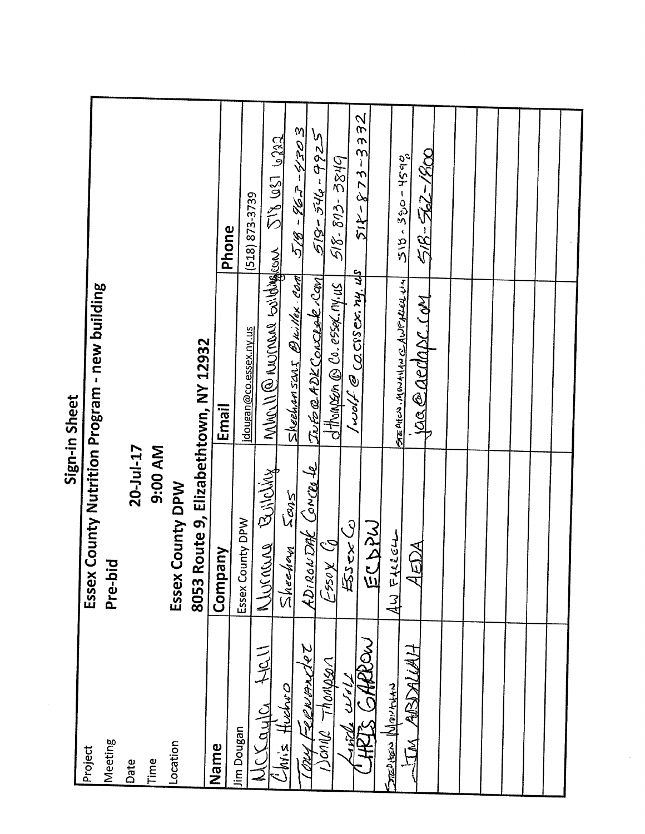$\hat{\mathcal{A}}$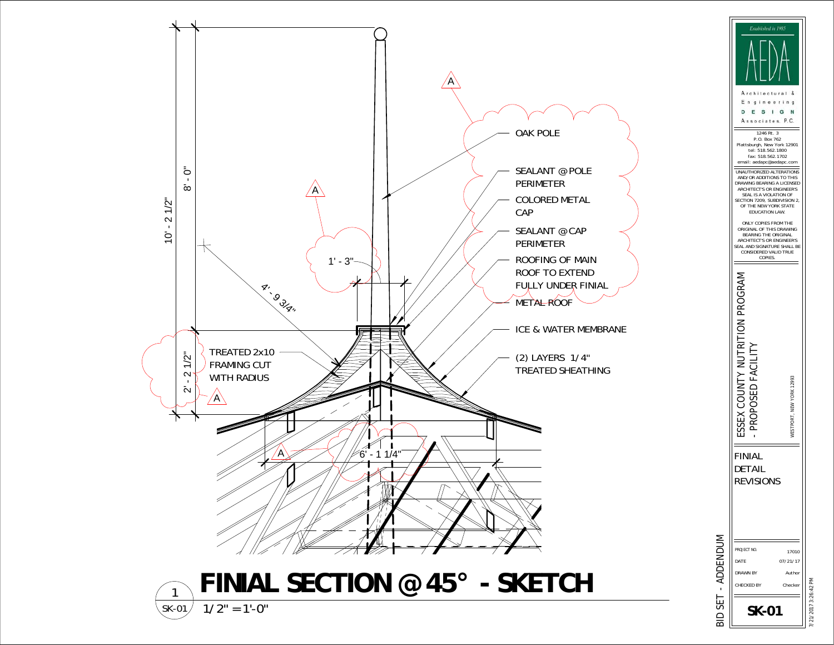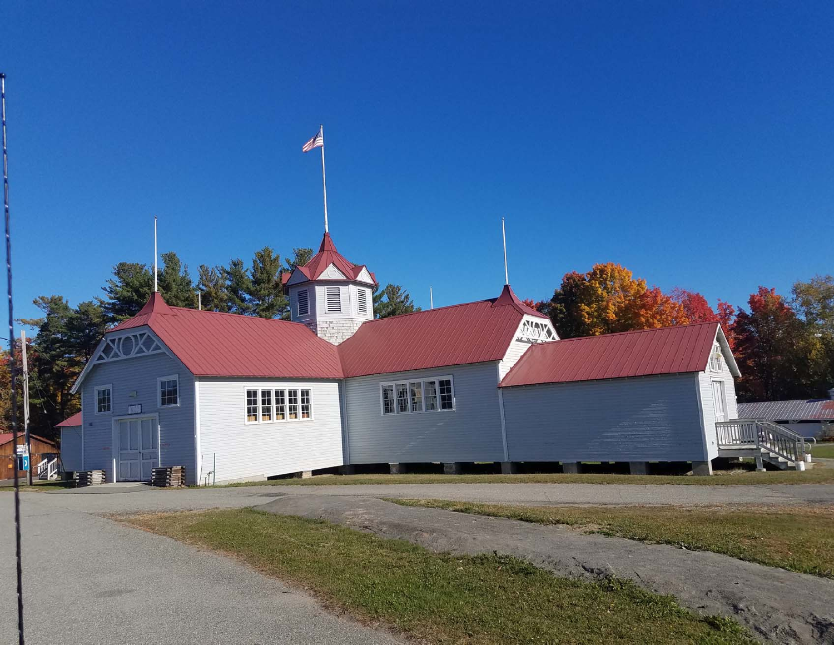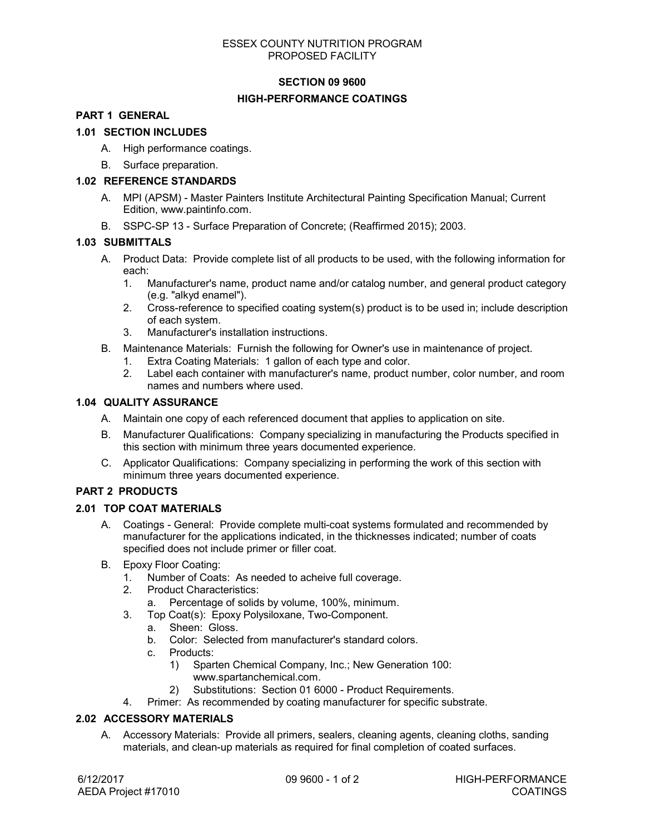### **SECTION 09 9600**

### **HIGH-PERFORMANCE COATINGS**

#### **PART 1 GENERAL**

### **1.01 SECTION INCLUDES**

- A. High performance coatings.
- B. Surface preparation.

### **1.02 REFERENCE STANDARDS**

- A. MPI (APSM) Master Painters Institute Architectural Painting Specification Manual; Current Edition, www.paintinfo.com.
- B. SSPC-SP 13 Surface Preparation of Concrete; (Reaffirmed 2015); 2003.

### **1.03 SUBMITTALS**

- A. Product Data: Provide complete list of all products to be used, with the following information for each:
	- 1. Manufacturer's name, product name and/or catalog number, and general product category (e.g. "alkyd enamel").
	- 2. Cross-reference to specified coating system(s) product is to be used in; include description of each system.
	- 3. Manufacturer's installation instructions.
- B. Maintenance Materials: Furnish the following for Owner's use in maintenance of project.
	- 1. Extra Coating Materials: 1 gallon of each type and color.
	- 2. Label each container with manufacturer's name, product number, color number, and room names and numbers where used.

## **1.04 QUALITY ASSURANCE**

- A. Maintain one copy of each referenced document that applies to application on site.
- B. Manufacturer Qualifications: Company specializing in manufacturing the Products specified in this section with minimum three years documented experience.
- C. Applicator Qualifications: Company specializing in performing the work of this section with minimum three years documented experience.

### **PART 2 PRODUCTS**

#### **2.01 TOP COAT MATERIALS**

- A. Coatings General: Provide complete multi-coat systems formulated and recommended by manufacturer for the applications indicated, in the thicknesses indicated; number of coats specified does not include primer or filler coat.
- B. Epoxy Floor Coating:
	- 1. Number of Coats: As needed to acheive full coverage.
	- 2. Product Characteristics:
		- a. Percentage of solids by volume, 100%, minimum.
	- 3. Top Coat(s): Epoxy Polysiloxane, Two-Component.
		- a. Sheen: Gloss.
		- b. Color: Selected from manufacturer's standard colors.
		- c. Products:
			- 1) Sparten Chemical Company, Inc.; New Generation 100: www.spartanchemical.com.
			- 2) Substitutions: Section 01 6000 Product Requirements.
	- 4. Primer: As recommended by coating manufacturer for specific substrate.

### **2.02 ACCESSORY MATERIALS**

A. Accessory Materials: Provide all primers, sealers, cleaning agents, cleaning cloths, sanding materials, and clean-up materials as required for final completion of coated surfaces.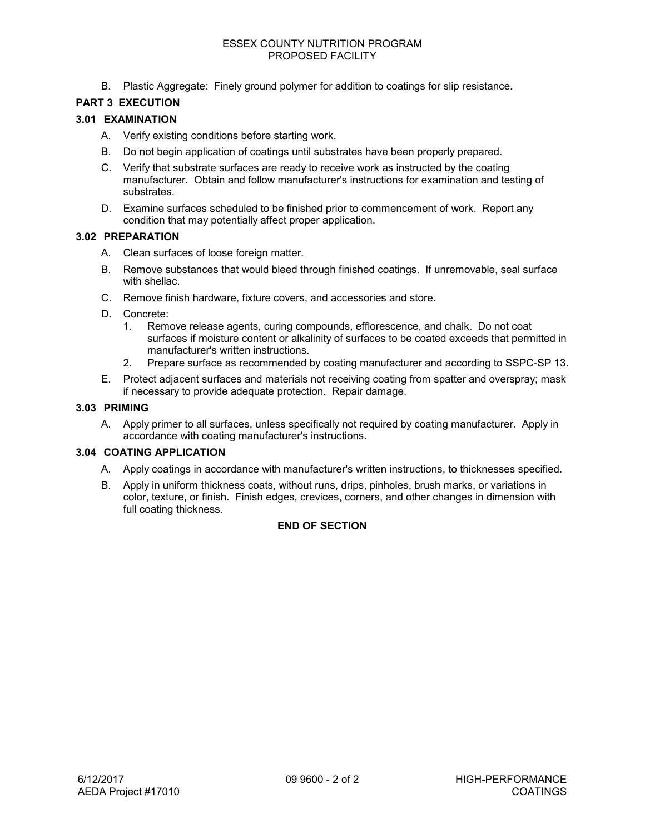- B. Plastic Aggregate: Finely ground polymer for addition to coatings for slip resistance.
- **PART 3 EXECUTION**

### **3.01 EXAMINATION**

- A. Verify existing conditions before starting work.
- B. Do not begin application of coatings until substrates have been properly prepared.
- C. Verify that substrate surfaces are ready to receive work as instructed by the coating manufacturer. Obtain and follow manufacturer's instructions for examination and testing of substrates.
- D. Examine surfaces scheduled to be finished prior to commencement of work. Report any condition that may potentially affect proper application.

### **3.02 PREPARATION**

- A. Clean surfaces of loose foreign matter.
- B. Remove substances that would bleed through finished coatings. If unremovable, seal surface with shellac.
- C. Remove finish hardware, fixture covers, and accessories and store.
- D. Concrete:
	- 1. Remove release agents, curing compounds, efflorescence, and chalk. Do not coat surfaces if moisture content or alkalinity of surfaces to be coated exceeds that permitted in manufacturer's written instructions.
	- 2. Prepare surface as recommended by coating manufacturer and according to SSPC-SP 13.
- E. Protect adjacent surfaces and materials not receiving coating from spatter and overspray; mask if necessary to provide adequate protection. Repair damage.

#### **3.03 PRIMING**

A. Apply primer to all surfaces, unless specifically not required by coating manufacturer. Apply in accordance with coating manufacturer's instructions.

### **3.04 COATING APPLICATION**

- A. Apply coatings in accordance with manufacturer's written instructions, to thicknesses specified.
- B. Apply in uniform thickness coats, without runs, drips, pinholes, brush marks, or variations in color, texture, or finish. Finish edges, crevices, corners, and other changes in dimension with full coating thickness.

### **END OF SECTION**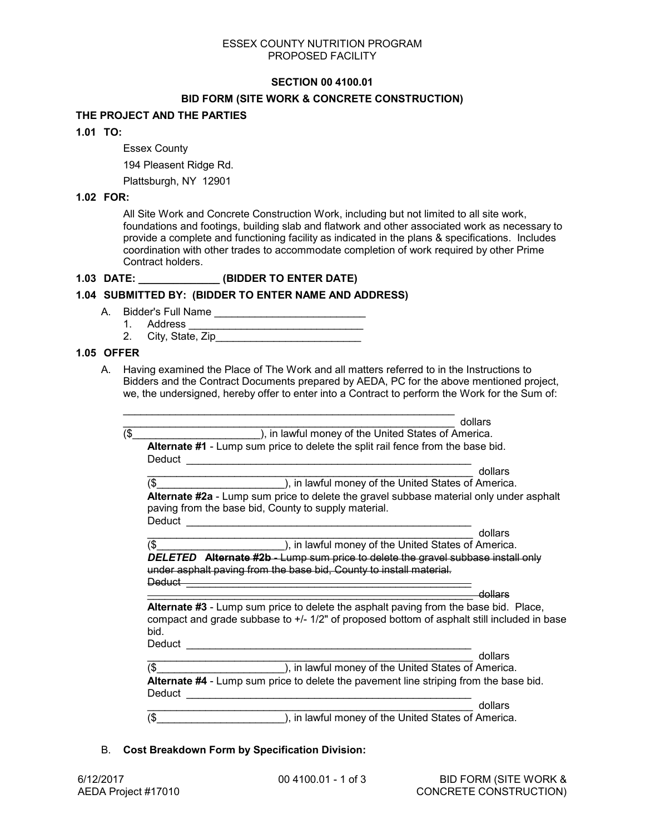#### **SECTION 00 4100.01**

# **BID FORM (SITE WORK & CONCRETE CONSTRUCTION)**

## **THE PROJECT AND THE PARTIES**

#### **1.01 TO:**

Essex County

194 Pleasent Ridge Rd.

Plattsburgh, NY 12901

#### **1.02 FOR:**

All Site Work and Concrete Construction Work, including but not limited to all site work, foundations and footings, building slab and flatwork and other associated work as necessary to provide a complete and functioning facility as indicated in the plans & specifications. Includes coordination with other trades to accommodate completion of work required by other Prime Contract holders.

# **1.03 DATE: \_\_\_\_\_\_\_\_\_\_\_\_\_\_ (BIDDER TO ENTER DATE)**

## **1.04 SUBMITTED BY: (BIDDER TO ENTER NAME AND ADDRESS)**

- A. Bidder's Full Name \_\_\_\_\_\_\_\_\_\_\_\_\_\_\_\_\_\_\_\_\_\_\_\_\_\_
	- 1. Address \_\_\_\_\_\_\_\_\_\_\_\_\_\_\_\_\_\_\_\_\_\_\_\_\_\_\_\_\_\_
	- 2. City, State, Zip

# **1.05 OFFER**

A. Having examined the Place of The Work and all matters referred to in the Instructions to Bidders and the Contract Documents prepared by AEDA, PC for the above mentioned project, we, the undersigned, hereby offer to enter into a Contract to perform the Work for the Sum of:

 $\mathcal{L}_\text{max} = \mathcal{L}_\text{max} = \mathcal{L}_\text{max} = \mathcal{L}_\text{max} = \mathcal{L}_\text{max} = \mathcal{L}_\text{max} = \mathcal{L}_\text{max} = \mathcal{L}_\text{max} = \mathcal{L}_\text{max} = \mathcal{L}_\text{max} = \mathcal{L}_\text{max} = \mathcal{L}_\text{max} = \mathcal{L}_\text{max} = \mathcal{L}_\text{max} = \mathcal{L}_\text{max} = \mathcal{L}_\text{max} = \mathcal{L}_\text{max} = \mathcal{L}_\text{max} = \mathcal{$ 

|        | dollars                                                                                                                                                                                                  |  |
|--------|----------------------------------------------------------------------------------------------------------------------------------------------------------------------------------------------------------|--|
|        | ), in lawful money of the United States of America.                                                                                                                                                      |  |
|        | Alternate #1 - Lump sum price to delete the split rail fence from the base bid.                                                                                                                          |  |
| Deduct |                                                                                                                                                                                                          |  |
|        | dollars                                                                                                                                                                                                  |  |
| $($ \$ | ), in lawful money of the United States of America.                                                                                                                                                      |  |
|        | Alternate #2a - Lump sum price to delete the gravel subbase material only under asphalt<br>paving from the base bid, County to supply material.                                                          |  |
| Deduct |                                                                                                                                                                                                          |  |
|        | dollars                                                                                                                                                                                                  |  |
|        | ), in lawful money of the United States of America.                                                                                                                                                      |  |
| $($ \$ | <b>DELETED</b> Alternate #2b Lump sum price to delete the gravel subbase install only                                                                                                                    |  |
| Deduct | under asphalt paving from the base bid, County to install material.<br><u> 1989 - Johann Barn, mars ann an t-Amhain ann an t-Amhain an t-Amhain an t-Amhain an t-Amhain an t-Amhain an t-</u><br>dollars |  |
|        |                                                                                                                                                                                                          |  |
| bid.   | Alternate #3 - Lump sum price to delete the asphalt paving from the base bid. Place,                                                                                                                     |  |
| Deduct |                                                                                                                                                                                                          |  |
|        | dollars                                                                                                                                                                                                  |  |
| $(S -$ |                                                                                                                                                                                                          |  |
|        | _), in lawful money of the United States of America.                                                                                                                                                     |  |
| Deduct | Alternate #4 - Lump sum price to delete the pavement line striping from the base bid.                                                                                                                    |  |
|        | compact and grade subbase to +/- 1/2" of proposed bottom of asphalt still included in base<br>dollars                                                                                                    |  |

B. **Cost Breakdown Form by Specification Division:**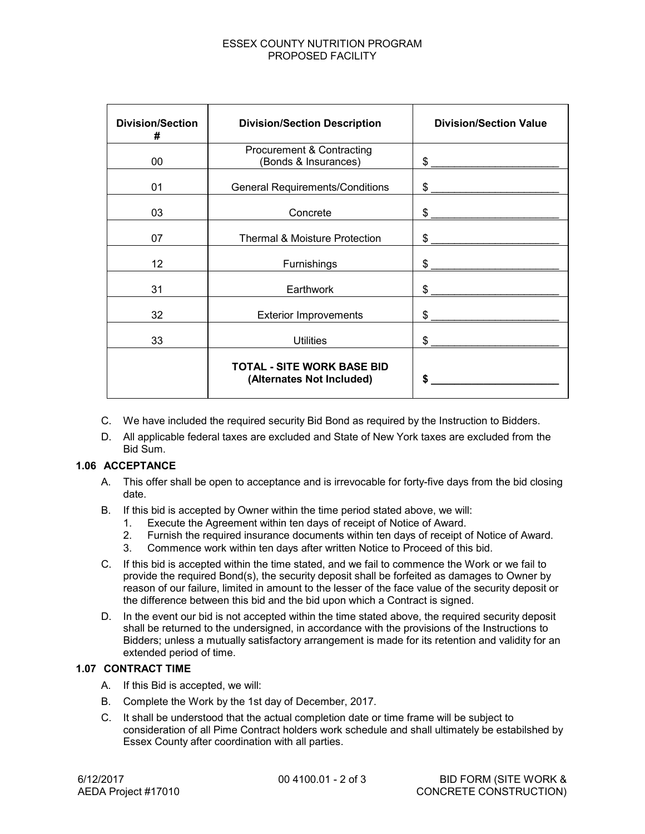| <b>Division/Section</b><br># | <b>Division/Section Description</b>                            | <b>Division/Section Value</b> |
|------------------------------|----------------------------------------------------------------|-------------------------------|
| $00 \,$                      | Procurement & Contracting<br>(Bonds & Insurances)              | $\frac{1}{2}$                 |
| 01                           | <b>General Requirements/Conditions</b>                         | $\frac{1}{2}$                 |
| 03                           | Concrete                                                       | \$                            |
| 07                           | <b>Thermal &amp; Moisture Protection</b>                       | $\mathfrak s$                 |
| 12                           | <b>Furnishings</b>                                             | \$                            |
| 31                           | Earthwork                                                      | $\mathbb{S}$                  |
| 32                           | <b>Exterior Improvements</b>                                   | \$                            |
| 33                           | <b>Utilities</b>                                               | \$                            |
|                              | <b>TOTAL - SITE WORK BASE BID</b><br>(Alternates Not Included) | \$                            |

- C. We have included the required security Bid Bond as required by the Instruction to Bidders.
- D. All applicable federal taxes are excluded and State of New York taxes are excluded from the Bid Sum.

### **1.06 ACCEPTANCE**

- A. This offer shall be open to acceptance and is irrevocable for forty-five days from the bid closing date.
- B. If this bid is accepted by Owner within the time period stated above, we will:
	- 1. Execute the Agreement within ten days of receipt of Notice of Award.
	- 2. Furnish the required insurance documents within ten days of receipt of Notice of Award.
	- 3. Commence work within ten days after written Notice to Proceed of this bid.
- C. If this bid is accepted within the time stated, and we fail to commence the Work or we fail to provide the required Bond(s), the security deposit shall be forfeited as damages to Owner by reason of our failure, limited in amount to the lesser of the face value of the security deposit or the difference between this bid and the bid upon which a Contract is signed.
- D. In the event our bid is not accepted within the time stated above, the required security deposit shall be returned to the undersigned, in accordance with the provisions of the Instructions to Bidders; unless a mutually satisfactory arrangement is made for its retention and validity for an extended period of time.

### **1.07 CONTRACT TIME**

- A. If this Bid is accepted, we will:
- B. Complete the Work by the 1st day of December, 2017.
- C. It shall be understood that the actual completion date or time frame will be subject to consideration of all Pime Contract holders work schedule and shall ultimately be estabilshed by Essex County after coordination with all parties.